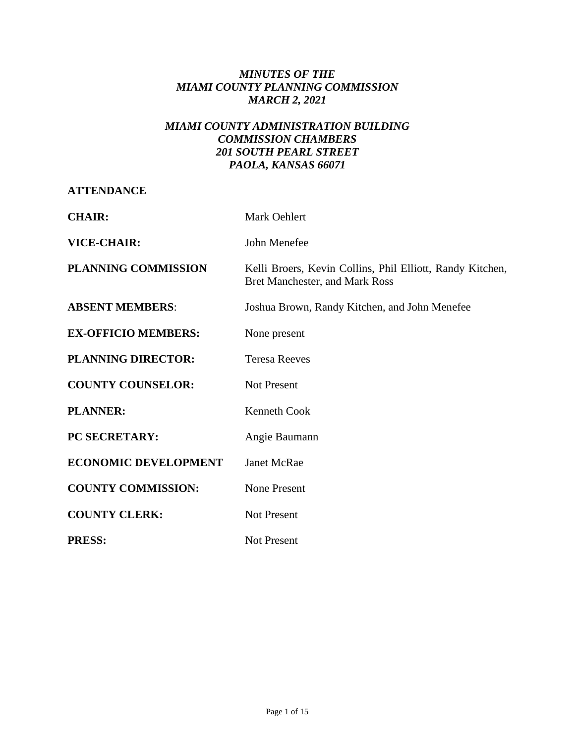# *MINUTES OF THE MIAMI COUNTY PLANNING COMMISSION MARCH 2, 2021*

# *MIAMI COUNTY ADMINISTRATION BUILDING COMMISSION CHAMBERS 201 SOUTH PEARL STREET PAOLA, KANSAS 66071*

## **ATTENDANCE**

| <b>CHAIR:</b>               | Mark Oehlert                                                                                |
|-----------------------------|---------------------------------------------------------------------------------------------|
| <b>VICE-CHAIR:</b>          | John Menefee                                                                                |
| <b>PLANNING COMMISSION</b>  | Kelli Broers, Kevin Collins, Phil Elliott, Randy Kitchen,<br>Bret Manchester, and Mark Ross |
| <b>ABSENT MEMBERS:</b>      | Joshua Brown, Randy Kitchen, and John Menefee                                               |
| <b>EX-OFFICIO MEMBERS:</b>  | None present                                                                                |
| <b>PLANNING DIRECTOR:</b>   | <b>Teresa Reeves</b>                                                                        |
| <b>COUNTY COUNSELOR:</b>    | <b>Not Present</b>                                                                          |
| <b>PLANNER:</b>             | Kenneth Cook                                                                                |
| PC SECRETARY:               | Angie Baumann                                                                               |
| <b>ECONOMIC DEVELOPMENT</b> | <b>Janet McRae</b>                                                                          |
| <b>COUNTY COMMISSION:</b>   | None Present                                                                                |
| <b>COUNTY CLERK:</b>        | <b>Not Present</b>                                                                          |
| <b>PRESS:</b>               | <b>Not Present</b>                                                                          |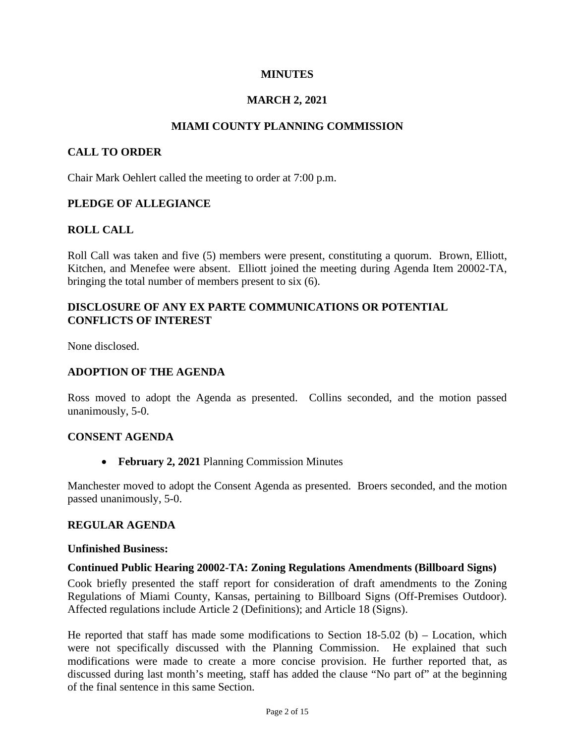## **MINUTES**

## **MARCH 2, 2021**

#### **MIAMI COUNTY PLANNING COMMISSION**

#### **CALL TO ORDER**

Chair Mark Oehlert called the meeting to order at 7:00 p.m.

#### **PLEDGE OF ALLEGIANCE**

### **ROLL CALL**

Roll Call was taken and five (5) members were present, constituting a quorum. Brown, Elliott, Kitchen, and Menefee were absent. Elliott joined the meeting during Agenda Item 20002-TA, bringing the total number of members present to six (6).

## **DISCLOSURE OF ANY EX PARTE COMMUNICATIONS OR POTENTIAL CONFLICTS OF INTEREST**

None disclosed.

#### **ADOPTION OF THE AGENDA**

Ross moved to adopt the Agenda as presented. Collins seconded, and the motion passed unanimously, 5-0.

#### **CONSENT AGENDA**

• **February 2, 2021** Planning Commission Minutes

Manchester moved to adopt the Consent Agenda as presented. Broers seconded, and the motion passed unanimously, 5-0.

#### **REGULAR AGENDA**

#### **Unfinished Business:**

#### **Continued Public Hearing 20002-TA: Zoning Regulations Amendments (Billboard Signs)**

Cook briefly presented the staff report for consideration of draft amendments to the Zoning Regulations of Miami County, Kansas, pertaining to Billboard Signs (Off-Premises Outdoor). Affected regulations include Article 2 (Definitions); and Article 18 (Signs).

He reported that staff has made some modifications to Section  $18-5.02$  (b) – Location, which were not specifically discussed with the Planning Commission. He explained that such modifications were made to create a more concise provision. He further reported that, as discussed during last month's meeting, staff has added the clause "No part of" at the beginning of the final sentence in this same Section.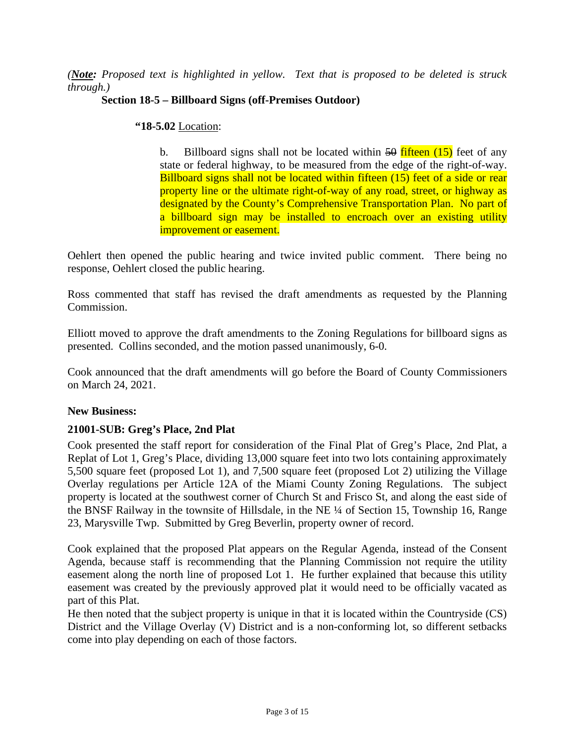*(Note: Proposed text is highlighted in yellow. Text that is proposed to be deleted is struck through.)*

## **Section 18-5 – Billboard Signs (off-Premises Outdoor)**

#### **"18-5.02** Location:

b. Billboard signs shall not be located within  $\frac{50}{11}$  fifteen (15) feet of any state or federal highway, to be measured from the edge of the right-of-way. Billboard signs shall not be located within fifteen (15) feet of a side or rear property line or the ultimate right-of-way of any road, street, or highway as designated by the County's Comprehensive Transportation Plan. No part of a billboard sign may be installed to encroach over an existing utility improvement or easement.

Oehlert then opened the public hearing and twice invited public comment. There being no response, Oehlert closed the public hearing.

Ross commented that staff has revised the draft amendments as requested by the Planning Commission.

Elliott moved to approve the draft amendments to the Zoning Regulations for billboard signs as presented. Collins seconded, and the motion passed unanimously, 6-0.

Cook announced that the draft amendments will go before the Board of County Commissioners on March 24, 2021.

### **New Business:**

### **21001-SUB: Greg's Place, 2nd Plat**

Cook presented the staff report for consideration of the Final Plat of Greg's Place, 2nd Plat, a Replat of Lot 1, Greg's Place, dividing 13,000 square feet into two lots containing approximately 5,500 square feet (proposed Lot 1), and 7,500 square feet (proposed Lot 2) utilizing the Village Overlay regulations per Article 12A of the Miami County Zoning Regulations. The subject property is located at the southwest corner of Church St and Frisco St, and along the east side of the BNSF Railway in the townsite of Hillsdale, in the NE ¼ of Section 15, Township 16, Range 23, Marysville Twp. Submitted by Greg Beverlin, property owner of record.

Cook explained that the proposed Plat appears on the Regular Agenda, instead of the Consent Agenda, because staff is recommending that the Planning Commission not require the utility easement along the north line of proposed Lot 1. He further explained that because this utility easement was created by the previously approved plat it would need to be officially vacated as part of this Plat.

He then noted that the subject property is unique in that it is located within the Countryside (CS) District and the Village Overlay (V) District and is a non-conforming lot, so different setbacks come into play depending on each of those factors.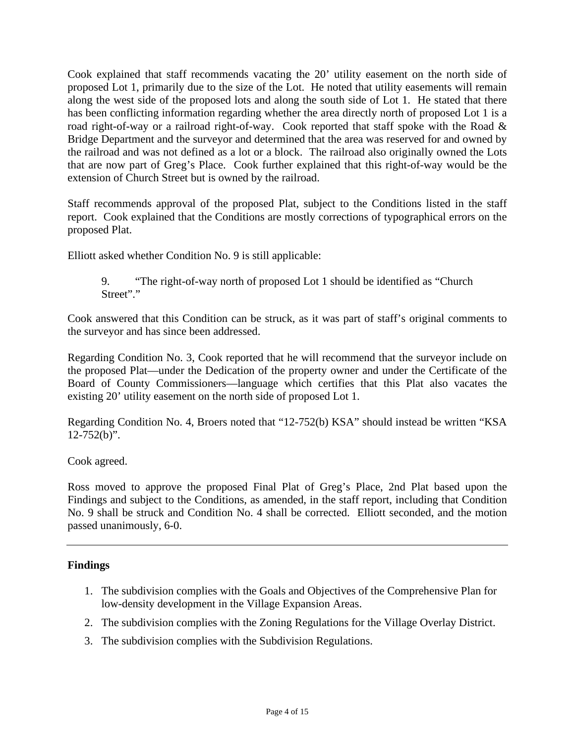Cook explained that staff recommends vacating the 20' utility easement on the north side of proposed Lot 1, primarily due to the size of the Lot. He noted that utility easements will remain along the west side of the proposed lots and along the south side of Lot 1. He stated that there has been conflicting information regarding whether the area directly north of proposed Lot 1 is a road right-of-way or a railroad right-of-way. Cook reported that staff spoke with the Road & Bridge Department and the surveyor and determined that the area was reserved for and owned by the railroad and was not defined as a lot or a block. The railroad also originally owned the Lots that are now part of Greg's Place. Cook further explained that this right-of-way would be the extension of Church Street but is owned by the railroad.

Staff recommends approval of the proposed Plat, subject to the Conditions listed in the staff report. Cook explained that the Conditions are mostly corrections of typographical errors on the proposed Plat.

Elliott asked whether Condition No. 9 is still applicable:

9. "The right-of-way north of proposed Lot 1 should be identified as "Church Street"."

Cook answered that this Condition can be struck, as it was part of staff's original comments to the surveyor and has since been addressed.

Regarding Condition No. 3, Cook reported that he will recommend that the surveyor include on the proposed Plat—under the Dedication of the property owner and under the Certificate of the Board of County Commissioners—language which certifies that this Plat also vacates the existing 20' utility easement on the north side of proposed Lot 1.

Regarding Condition No. 4, Broers noted that "12-752(b) KSA" should instead be written "KSA  $12 - 752(b)$ ".

Cook agreed.

Ross moved to approve the proposed Final Plat of Greg's Place, 2nd Plat based upon the Findings and subject to the Conditions, as amended, in the staff report, including that Condition No. 9 shall be struck and Condition No. 4 shall be corrected. Elliott seconded, and the motion passed unanimously, 6-0.

# **Findings**

- 1. The subdivision complies with the Goals and Objectives of the Comprehensive Plan for low-density development in the Village Expansion Areas.
- 2. The subdivision complies with the Zoning Regulations for the Village Overlay District.
- 3. The subdivision complies with the Subdivision Regulations.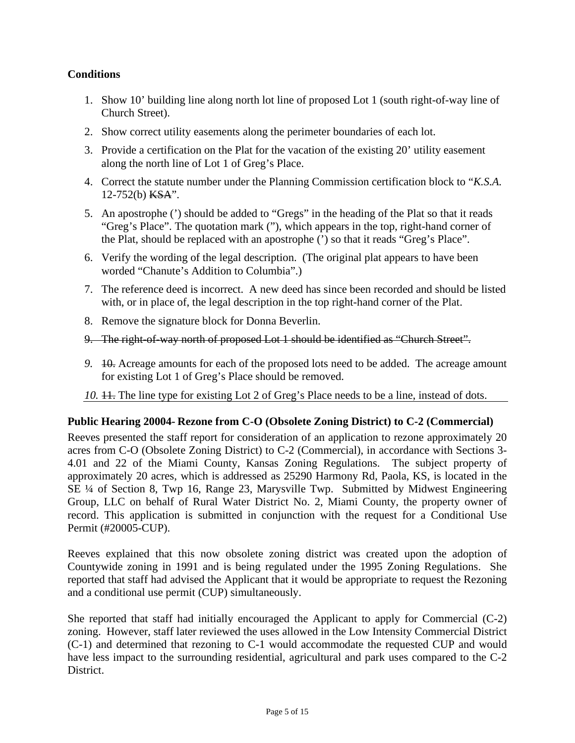# **Conditions**

- 1. Show 10' building line along north lot line of proposed Lot 1 (south right-of-way line of Church Street).
- 2. Show correct utility easements along the perimeter boundaries of each lot.
- 3. Provide a certification on the Plat for the vacation of the existing 20' utility easement along the north line of Lot 1 of Greg's Place.
- 4. Correct the statute number under the Planning Commission certification block to "*K.S.A.* 12-752(b) KSA".
- 5. An apostrophe (') should be added to "Gregs" in the heading of the Plat so that it reads "Greg's Place". The quotation mark ("), which appears in the top, right-hand corner of the Plat, should be replaced with an apostrophe (') so that it reads "Greg's Place".
- 6. Verify the wording of the legal description. (The original plat appears to have been worded "Chanute's Addition to Columbia".)
- 7. The reference deed is incorrect. A new deed has since been recorded and should be listed with, or in place of, the legal description in the top right-hand corner of the Plat.
- 8. Remove the signature block for Donna Beverlin.
- 9. The right-of-way north of proposed Lot 1 should be identified as "Church Street".
- *9.* 10. Acreage amounts for each of the proposed lots need to be added. The acreage amount for existing Lot 1 of Greg's Place should be removed.
- 10.  $\ddagger$  1. The line type for existing Lot 2 of Greg's Place needs to be a line, instead of dots.

### **Public Hearing 20004- Rezone from C-O (Obsolete Zoning District) to C-2 (Commercial)**

Reeves presented the staff report for consideration of an application to rezone approximately 20 acres from C-O (Obsolete Zoning District) to C-2 (Commercial), in accordance with Sections 3- 4.01 and 22 of the Miami County, Kansas Zoning Regulations. The subject property of approximately 20 acres, which is addressed as 25290 Harmony Rd, Paola, KS, is located in the SE ¼ of Section 8, Twp 16, Range 23, Marysville Twp. Submitted by Midwest Engineering Group, LLC on behalf of Rural Water District No. 2, Miami County, the property owner of record. This application is submitted in conjunction with the request for a Conditional Use Permit (#20005-CUP).

Reeves explained that this now obsolete zoning district was created upon the adoption of Countywide zoning in 1991 and is being regulated under the 1995 Zoning Regulations. She reported that staff had advised the Applicant that it would be appropriate to request the Rezoning and a conditional use permit (CUP) simultaneously.

She reported that staff had initially encouraged the Applicant to apply for Commercial (C-2) zoning. However, staff later reviewed the uses allowed in the Low Intensity Commercial District (C-1) and determined that rezoning to C-1 would accommodate the requested CUP and would have less impact to the surrounding residential, agricultural and park uses compared to the C-2 District.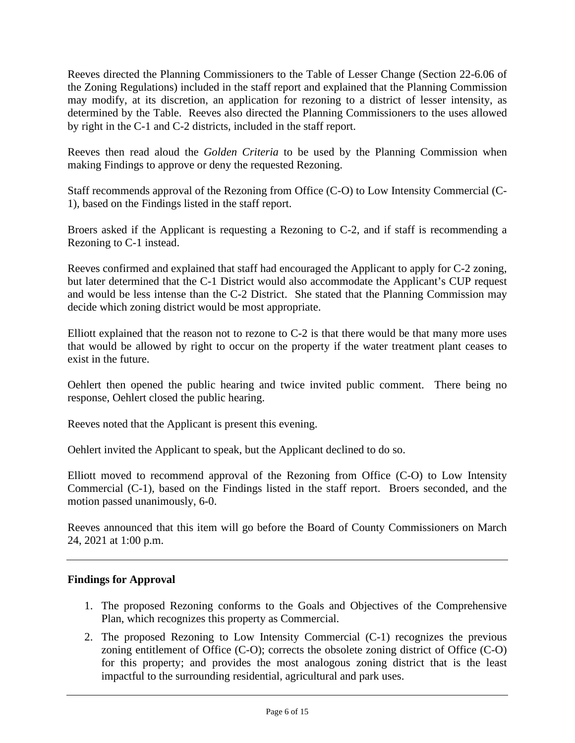Reeves directed the Planning Commissioners to the Table of Lesser Change (Section 22-6.06 of the Zoning Regulations) included in the staff report and explained that the Planning Commission may modify, at its discretion, an application for rezoning to a district of lesser intensity, as determined by the Table. Reeves also directed the Planning Commissioners to the uses allowed by right in the C-1 and C-2 districts, included in the staff report.

Reeves then read aloud the *Golden Criteria* to be used by the Planning Commission when making Findings to approve or deny the requested Rezoning.

Staff recommends approval of the Rezoning from Office (C-O) to Low Intensity Commercial (C-1), based on the Findings listed in the staff report.

Broers asked if the Applicant is requesting a Rezoning to C-2, and if staff is recommending a Rezoning to C-1 instead.

Reeves confirmed and explained that staff had encouraged the Applicant to apply for C-2 zoning, but later determined that the C-1 District would also accommodate the Applicant's CUP request and would be less intense than the C-2 District. She stated that the Planning Commission may decide which zoning district would be most appropriate.

Elliott explained that the reason not to rezone to C-2 is that there would be that many more uses that would be allowed by right to occur on the property if the water treatment plant ceases to exist in the future.

Oehlert then opened the public hearing and twice invited public comment. There being no response, Oehlert closed the public hearing.

Reeves noted that the Applicant is present this evening.

Oehlert invited the Applicant to speak, but the Applicant declined to do so.

Elliott moved to recommend approval of the Rezoning from Office (C-O) to Low Intensity Commercial (C-1), based on the Findings listed in the staff report. Broers seconded, and the motion passed unanimously, 6-0.

Reeves announced that this item will go before the Board of County Commissioners on March 24, 2021 at 1:00 p.m.

### **Findings for Approval**

- 1. The proposed Rezoning conforms to the Goals and Objectives of the Comprehensive Plan, which recognizes this property as Commercial.
- 2. The proposed Rezoning to Low Intensity Commercial (C-1) recognizes the previous zoning entitlement of Office (C-O); corrects the obsolete zoning district of Office (C-O) for this property; and provides the most analogous zoning district that is the least impactful to the surrounding residential, agricultural and park uses.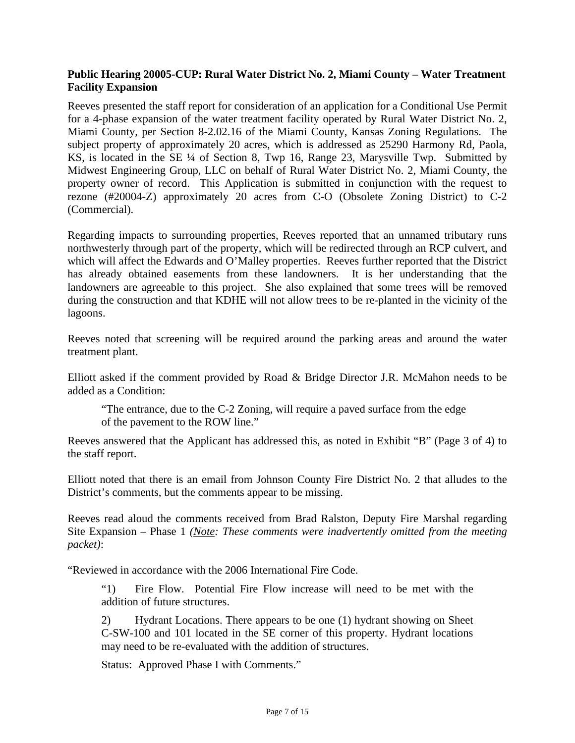## **Public Hearing 20005-CUP: Rural Water District No. 2, Miami County – Water Treatment Facility Expansion**

Reeves presented the staff report for consideration of an application for a Conditional Use Permit for a 4-phase expansion of the water treatment facility operated by Rural Water District No. 2, Miami County, per Section 8-2.02.16 of the Miami County, Kansas Zoning Regulations. The subject property of approximately 20 acres, which is addressed as 25290 Harmony Rd, Paola, KS, is located in the SE ¼ of Section 8, Twp 16, Range 23, Marysville Twp. Submitted by Midwest Engineering Group, LLC on behalf of Rural Water District No. 2, Miami County, the property owner of record. This Application is submitted in conjunction with the request to rezone (#20004-Z) approximately 20 acres from C-O (Obsolete Zoning District) to C-2 (Commercial).

Regarding impacts to surrounding properties, Reeves reported that an unnamed tributary runs northwesterly through part of the property, which will be redirected through an RCP culvert, and which will affect the Edwards and O'Malley properties. Reeves further reported that the District has already obtained easements from these landowners. It is her understanding that the landowners are agreeable to this project. She also explained that some trees will be removed during the construction and that KDHE will not allow trees to be re-planted in the vicinity of the lagoons.

Reeves noted that screening will be required around the parking areas and around the water treatment plant.

Elliott asked if the comment provided by Road & Bridge Director J.R. McMahon needs to be added as a Condition:

"The entrance, due to the C-2 Zoning, will require a paved surface from the edge of the pavement to the ROW line."

Reeves answered that the Applicant has addressed this, as noted in Exhibit "B" (Page 3 of 4) to the staff report.

Elliott noted that there is an email from Johnson County Fire District No. 2 that alludes to the District's comments, but the comments appear to be missing.

Reeves read aloud the comments received from Brad Ralston, Deputy Fire Marshal regarding Site Expansion – Phase 1 *(Note: These comments were inadvertently omitted from the meeting packet)*:

"Reviewed in accordance with the 2006 International Fire Code.

"1) Fire Flow. Potential Fire Flow increase will need to be met with the addition of future structures.

2) Hydrant Locations. There appears to be one (1) hydrant showing on Sheet C-SW-100 and 101 located in the SE corner of this property. Hydrant locations may need to be re-evaluated with the addition of structures.

Status: Approved Phase I with Comments."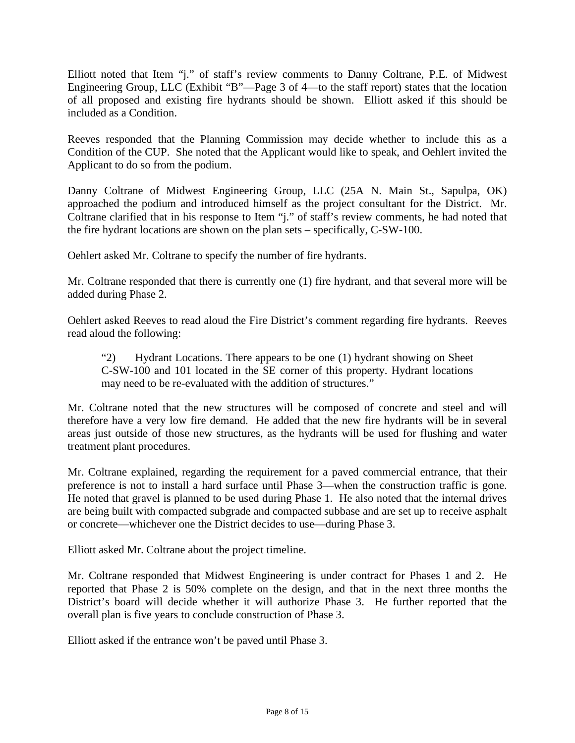Elliott noted that Item "j." of staff's review comments to Danny Coltrane, P.E. of Midwest Engineering Group, LLC (Exhibit "B"—Page 3 of 4—to the staff report) states that the location of all proposed and existing fire hydrants should be shown. Elliott asked if this should be included as a Condition.

Reeves responded that the Planning Commission may decide whether to include this as a Condition of the CUP. She noted that the Applicant would like to speak, and Oehlert invited the Applicant to do so from the podium.

Danny Coltrane of Midwest Engineering Group, LLC (25A N. Main St., Sapulpa, OK) approached the podium and introduced himself as the project consultant for the District. Mr. Coltrane clarified that in his response to Item "j." of staff's review comments, he had noted that the fire hydrant locations are shown on the plan sets – specifically, C-SW-100.

Oehlert asked Mr. Coltrane to specify the number of fire hydrants.

Mr. Coltrane responded that there is currently one (1) fire hydrant, and that several more will be added during Phase 2.

Oehlert asked Reeves to read aloud the Fire District's comment regarding fire hydrants. Reeves read aloud the following:

"2) Hydrant Locations. There appears to be one (1) hydrant showing on Sheet C-SW-100 and 101 located in the SE corner of this property. Hydrant locations may need to be re-evaluated with the addition of structures."

Mr. Coltrane noted that the new structures will be composed of concrete and steel and will therefore have a very low fire demand. He added that the new fire hydrants will be in several areas just outside of those new structures, as the hydrants will be used for flushing and water treatment plant procedures.

Mr. Coltrane explained, regarding the requirement for a paved commercial entrance, that their preference is not to install a hard surface until Phase 3—when the construction traffic is gone. He noted that gravel is planned to be used during Phase 1. He also noted that the internal drives are being built with compacted subgrade and compacted subbase and are set up to receive asphalt or concrete—whichever one the District decides to use—during Phase 3.

Elliott asked Mr. Coltrane about the project timeline.

Mr. Coltrane responded that Midwest Engineering is under contract for Phases 1 and 2. He reported that Phase 2 is 50% complete on the design, and that in the next three months the District's board will decide whether it will authorize Phase 3. He further reported that the overall plan is five years to conclude construction of Phase 3.

Elliott asked if the entrance won't be paved until Phase 3.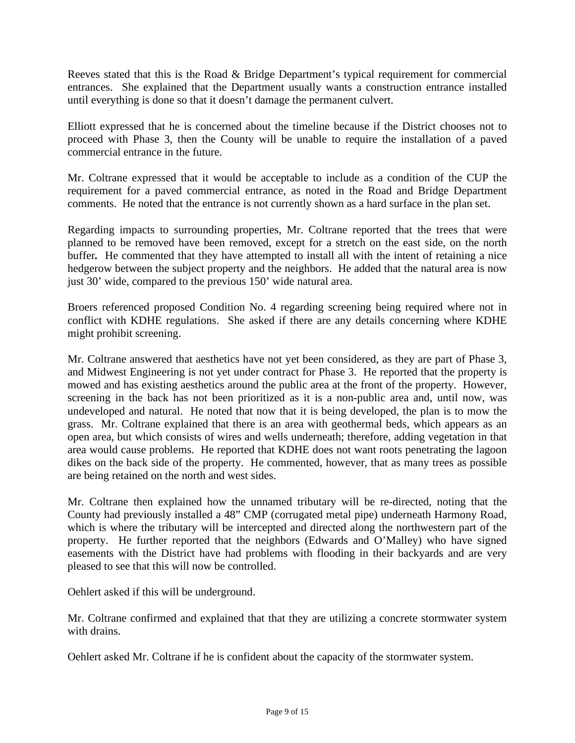Reeves stated that this is the Road & Bridge Department's typical requirement for commercial entrances. She explained that the Department usually wants a construction entrance installed until everything is done so that it doesn't damage the permanent culvert.

Elliott expressed that he is concerned about the timeline because if the District chooses not to proceed with Phase 3, then the County will be unable to require the installation of a paved commercial entrance in the future.

Mr. Coltrane expressed that it would be acceptable to include as a condition of the CUP the requirement for a paved commercial entrance, as noted in the Road and Bridge Department comments. He noted that the entrance is not currently shown as a hard surface in the plan set.

Regarding impacts to surrounding properties, Mr. Coltrane reported that the trees that were planned to be removed have been removed, except for a stretch on the east side, on the north buffer. He commented that they have attempted to install all with the intent of retaining a nice hedgerow between the subject property and the neighbors. He added that the natural area is now just 30' wide, compared to the previous 150' wide natural area.

Broers referenced proposed Condition No. 4 regarding screening being required where not in conflict with KDHE regulations. She asked if there are any details concerning where KDHE might prohibit screening.

Mr. Coltrane answered that aesthetics have not yet been considered, as they are part of Phase 3, and Midwest Engineering is not yet under contract for Phase 3. He reported that the property is mowed and has existing aesthetics around the public area at the front of the property. However, screening in the back has not been prioritized as it is a non-public area and, until now, was undeveloped and natural. He noted that now that it is being developed, the plan is to mow the grass. Mr. Coltrane explained that there is an area with geothermal beds, which appears as an open area, but which consists of wires and wells underneath; therefore, adding vegetation in that area would cause problems. He reported that KDHE does not want roots penetrating the lagoon dikes on the back side of the property. He commented, however, that as many trees as possible are being retained on the north and west sides.

Mr. Coltrane then explained how the unnamed tributary will be re-directed, noting that the County had previously installed a 48" CMP (corrugated metal pipe) underneath Harmony Road, which is where the tributary will be intercepted and directed along the northwestern part of the property. He further reported that the neighbors (Edwards and O'Malley) who have signed easements with the District have had problems with flooding in their backyards and are very pleased to see that this will now be controlled.

Oehlert asked if this will be underground.

Mr. Coltrane confirmed and explained that that they are utilizing a concrete stormwater system with drains.

Oehlert asked Mr. Coltrane if he is confident about the capacity of the stormwater system.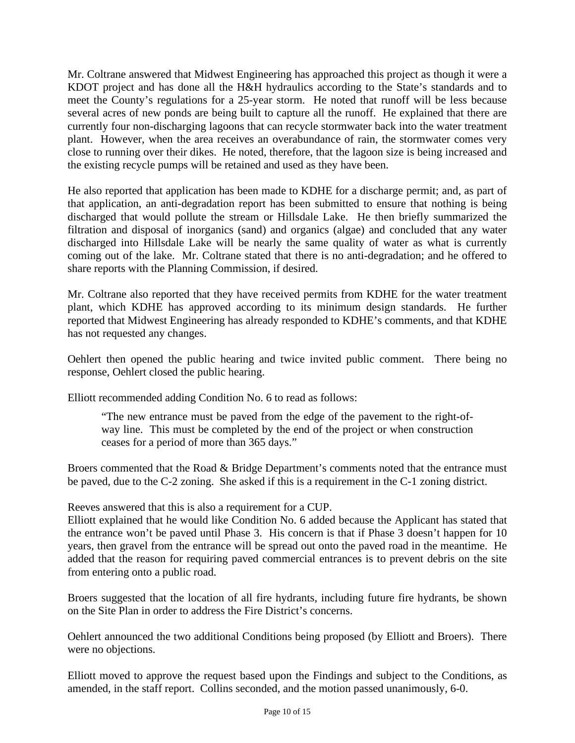Mr. Coltrane answered that Midwest Engineering has approached this project as though it were a KDOT project and has done all the H&H hydraulics according to the State's standards and to meet the County's regulations for a 25-year storm. He noted that runoff will be less because several acres of new ponds are being built to capture all the runoff. He explained that there are currently four non-discharging lagoons that can recycle stormwater back into the water treatment plant. However, when the area receives an overabundance of rain, the stormwater comes very close to running over their dikes. He noted, therefore, that the lagoon size is being increased and the existing recycle pumps will be retained and used as they have been.

He also reported that application has been made to KDHE for a discharge permit; and, as part of that application, an anti-degradation report has been submitted to ensure that nothing is being discharged that would pollute the stream or Hillsdale Lake. He then briefly summarized the filtration and disposal of inorganics (sand) and organics (algae) and concluded that any water discharged into Hillsdale Lake will be nearly the same quality of water as what is currently coming out of the lake. Mr. Coltrane stated that there is no anti-degradation; and he offered to share reports with the Planning Commission, if desired.

Mr. Coltrane also reported that they have received permits from KDHE for the water treatment plant, which KDHE has approved according to its minimum design standards. He further reported that Midwest Engineering has already responded to KDHE's comments, and that KDHE has not requested any changes.

Oehlert then opened the public hearing and twice invited public comment. There being no response, Oehlert closed the public hearing.

Elliott recommended adding Condition No. 6 to read as follows:

"The new entrance must be paved from the edge of the pavement to the right-ofway line. This must be completed by the end of the project or when construction ceases for a period of more than 365 days."

Broers commented that the Road & Bridge Department's comments noted that the entrance must be paved, due to the C-2 zoning. She asked if this is a requirement in the C-1 zoning district.

Reeves answered that this is also a requirement for a CUP.

Elliott explained that he would like Condition No. 6 added because the Applicant has stated that the entrance won't be paved until Phase 3. His concern is that if Phase 3 doesn't happen for 10 years, then gravel from the entrance will be spread out onto the paved road in the meantime. He added that the reason for requiring paved commercial entrances is to prevent debris on the site from entering onto a public road.

Broers suggested that the location of all fire hydrants, including future fire hydrants, be shown on the Site Plan in order to address the Fire District's concerns.

Oehlert announced the two additional Conditions being proposed (by Elliott and Broers). There were no objections.

Elliott moved to approve the request based upon the Findings and subject to the Conditions, as amended, in the staff report. Collins seconded, and the motion passed unanimously, 6-0.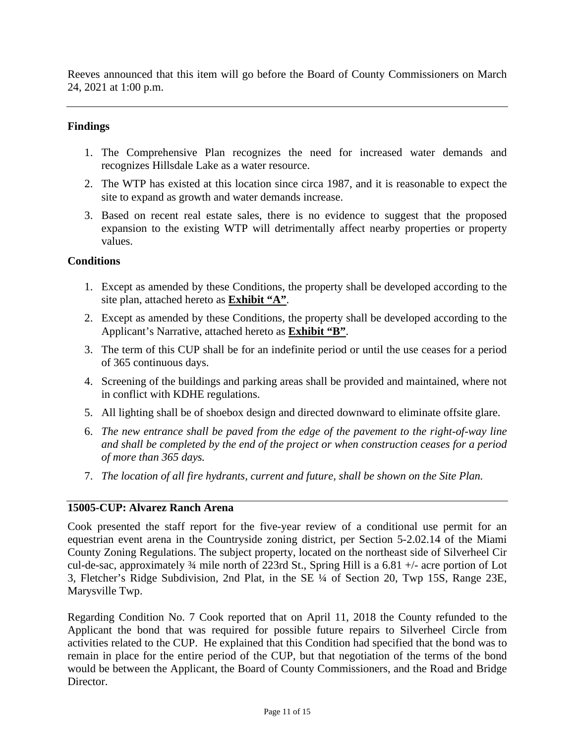Reeves announced that this item will go before the Board of County Commissioners on March 24, 2021 at 1:00 p.m.

## **Findings**

- 1. The Comprehensive Plan recognizes the need for increased water demands and recognizes Hillsdale Lake as a water resource.
- 2. The WTP has existed at this location since circa 1987, and it is reasonable to expect the site to expand as growth and water demands increase.
- 3. Based on recent real estate sales, there is no evidence to suggest that the proposed expansion to the existing WTP will detrimentally affect nearby properties or property values.

### **Conditions**

- 1. Except as amended by these Conditions, the property shall be developed according to the site plan, attached hereto as **Exhibit "A"**.
- 2. Except as amended by these Conditions, the property shall be developed according to the Applicant's Narrative, attached hereto as **Exhibit "B"**.
- 3. The term of this CUP shall be for an indefinite period or until the use ceases for a period of 365 continuous days.
- 4. Screening of the buildings and parking areas shall be provided and maintained, where not in conflict with KDHE regulations.
- 5. All lighting shall be of shoebox design and directed downward to eliminate offsite glare.
- 6. *The new entrance shall be paved from the edge of the pavement to the right-of-way line and shall be completed by the end of the project or when construction ceases for a period of more than 365 days.*
- 7. *The location of all fire hydrants, current and future, shall be shown on the Site Plan.*

### **15005-CUP: Alvarez Ranch Arena**

Cook presented the staff report for the five-year review of a conditional use permit for an equestrian event arena in the Countryside zoning district, per Section 5-2.02.14 of the Miami County Zoning Regulations. The subject property, located on the northeast side of Silverheel Cir cul-de-sac, approximately ¾ mile north of 223rd St., Spring Hill is a 6.81 +/- acre portion of Lot 3, Fletcher's Ridge Subdivision, 2nd Plat, in the SE ¼ of Section 20, Twp 15S, Range 23E, Marysville Twp.

Regarding Condition No. 7 Cook reported that on April 11, 2018 the County refunded to the Applicant the bond that was required for possible future repairs to Silverheel Circle from activities related to the CUP. He explained that this Condition had specified that the bond was to remain in place for the entire period of the CUP, but that negotiation of the terms of the bond would be between the Applicant, the Board of County Commissioners, and the Road and Bridge Director.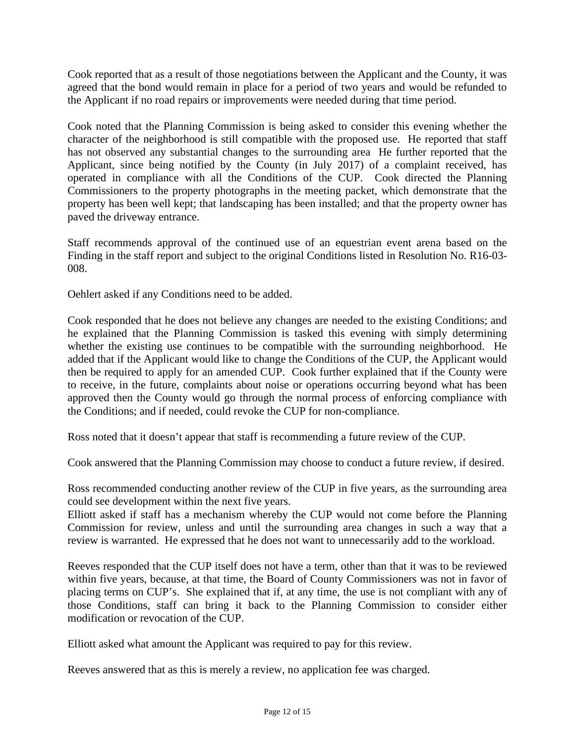Cook reported that as a result of those negotiations between the Applicant and the County, it was agreed that the bond would remain in place for a period of two years and would be refunded to the Applicant if no road repairs or improvements were needed during that time period.

Cook noted that the Planning Commission is being asked to consider this evening whether the character of the neighborhood is still compatible with the proposed use. He reported that staff has not observed any substantial changes to the surrounding area He further reported that the Applicant, since being notified by the County (in July 2017) of a complaint received, has operated in compliance with all the Conditions of the CUP. Cook directed the Planning Commissioners to the property photographs in the meeting packet, which demonstrate that the property has been well kept; that landscaping has been installed; and that the property owner has paved the driveway entrance.

Staff recommends approval of the continued use of an equestrian event arena based on the Finding in the staff report and subject to the original Conditions listed in Resolution No. R16-03- 008.

Oehlert asked if any Conditions need to be added.

Cook responded that he does not believe any changes are needed to the existing Conditions; and he explained that the Planning Commission is tasked this evening with simply determining whether the existing use continues to be compatible with the surrounding neighborhood. He added that if the Applicant would like to change the Conditions of the CUP, the Applicant would then be required to apply for an amended CUP. Cook further explained that if the County were to receive, in the future, complaints about noise or operations occurring beyond what has been approved then the County would go through the normal process of enforcing compliance with the Conditions; and if needed, could revoke the CUP for non-compliance.

Ross noted that it doesn't appear that staff is recommending a future review of the CUP.

Cook answered that the Planning Commission may choose to conduct a future review, if desired.

Ross recommended conducting another review of the CUP in five years, as the surrounding area could see development within the next five years.

Elliott asked if staff has a mechanism whereby the CUP would not come before the Planning Commission for review, unless and until the surrounding area changes in such a way that a review is warranted. He expressed that he does not want to unnecessarily add to the workload.

Reeves responded that the CUP itself does not have a term, other than that it was to be reviewed within five years, because, at that time, the Board of County Commissioners was not in favor of placing terms on CUP's. She explained that if, at any time, the use is not compliant with any of those Conditions, staff can bring it back to the Planning Commission to consider either modification or revocation of the CUP.

Elliott asked what amount the Applicant was required to pay for this review.

Reeves answered that as this is merely a review, no application fee was charged.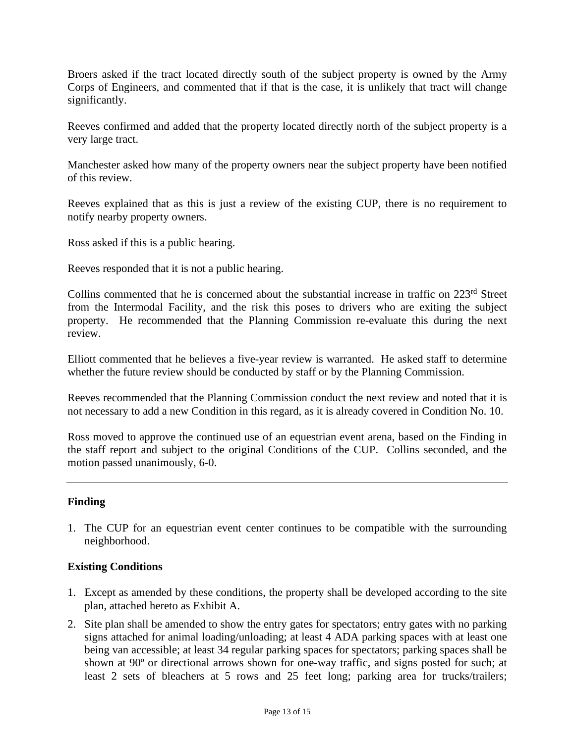Broers asked if the tract located directly south of the subject property is owned by the Army Corps of Engineers, and commented that if that is the case, it is unlikely that tract will change significantly.

Reeves confirmed and added that the property located directly north of the subject property is a very large tract.

Manchester asked how many of the property owners near the subject property have been notified of this review.

Reeves explained that as this is just a review of the existing CUP, there is no requirement to notify nearby property owners.

Ross asked if this is a public hearing.

Reeves responded that it is not a public hearing.

Collins commented that he is concerned about the substantial increase in traffic on 223rd Street from the Intermodal Facility, and the risk this poses to drivers who are exiting the subject property. He recommended that the Planning Commission re-evaluate this during the next review.

Elliott commented that he believes a five-year review is warranted. He asked staff to determine whether the future review should be conducted by staff or by the Planning Commission.

Reeves recommended that the Planning Commission conduct the next review and noted that it is not necessary to add a new Condition in this regard, as it is already covered in Condition No. 10.

Ross moved to approve the continued use of an equestrian event arena, based on the Finding in the staff report and subject to the original Conditions of the CUP. Collins seconded, and the motion passed unanimously, 6-0.

### **Finding**

1. The CUP for an equestrian event center continues to be compatible with the surrounding neighborhood.

### **Existing Conditions**

- 1. Except as amended by these conditions, the property shall be developed according to the site plan, attached hereto as Exhibit A.
- 2. Site plan shall be amended to show the entry gates for spectators; entry gates with no parking signs attached for animal loading/unloading; at least 4 ADA parking spaces with at least one being van accessible; at least 34 regular parking spaces for spectators; parking spaces shall be shown at 90º or directional arrows shown for one-way traffic, and signs posted for such; at least 2 sets of bleachers at 5 rows and 25 feet long; parking area for trucks/trailers;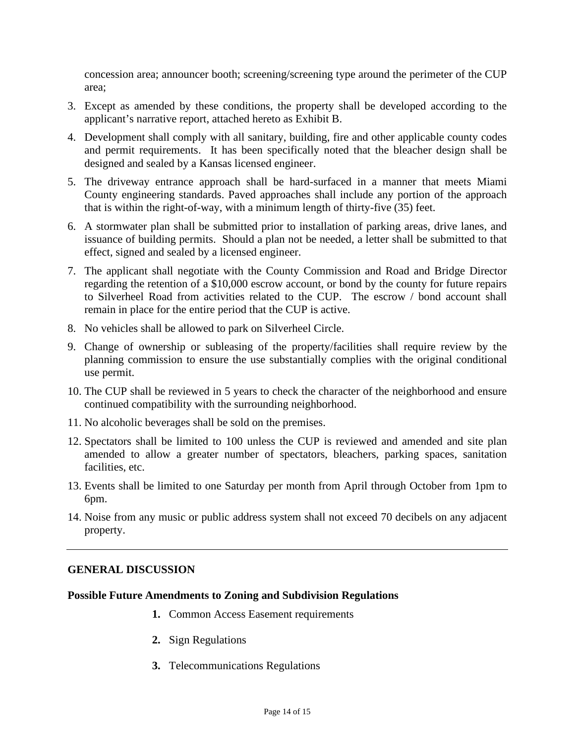concession area; announcer booth; screening/screening type around the perimeter of the CUP area;

- 3. Except as amended by these conditions, the property shall be developed according to the applicant's narrative report, attached hereto as Exhibit B.
- 4. Development shall comply with all sanitary, building, fire and other applicable county codes and permit requirements. It has been specifically noted that the bleacher design shall be designed and sealed by a Kansas licensed engineer.
- 5. The driveway entrance approach shall be hard-surfaced in a manner that meets Miami County engineering standards. Paved approaches shall include any portion of the approach that is within the right-of-way, with a minimum length of thirty-five (35) feet.
- 6. A stormwater plan shall be submitted prior to installation of parking areas, drive lanes, and issuance of building permits. Should a plan not be needed, a letter shall be submitted to that effect, signed and sealed by a licensed engineer.
- 7. The applicant shall negotiate with the County Commission and Road and Bridge Director regarding the retention of a \$10,000 escrow account, or bond by the county for future repairs to Silverheel Road from activities related to the CUP. The escrow / bond account shall remain in place for the entire period that the CUP is active.
- 8. No vehicles shall be allowed to park on Silverheel Circle.
- 9. Change of ownership or subleasing of the property/facilities shall require review by the planning commission to ensure the use substantially complies with the original conditional use permit.
- 10. The CUP shall be reviewed in 5 years to check the character of the neighborhood and ensure continued compatibility with the surrounding neighborhood.
- 11. No alcoholic beverages shall be sold on the premises.
- 12. Spectators shall be limited to 100 unless the CUP is reviewed and amended and site plan amended to allow a greater number of spectators, bleachers, parking spaces, sanitation facilities, etc.
- 13. Events shall be limited to one Saturday per month from April through October from 1pm to 6pm.
- 14. Noise from any music or public address system shall not exceed 70 decibels on any adjacent property.

# **GENERAL DISCUSSION**

### **Possible Future Amendments to Zoning and Subdivision Regulations**

- **1.** Common Access Easement requirements
- **2.** Sign Regulations
- **3.** Telecommunications Regulations